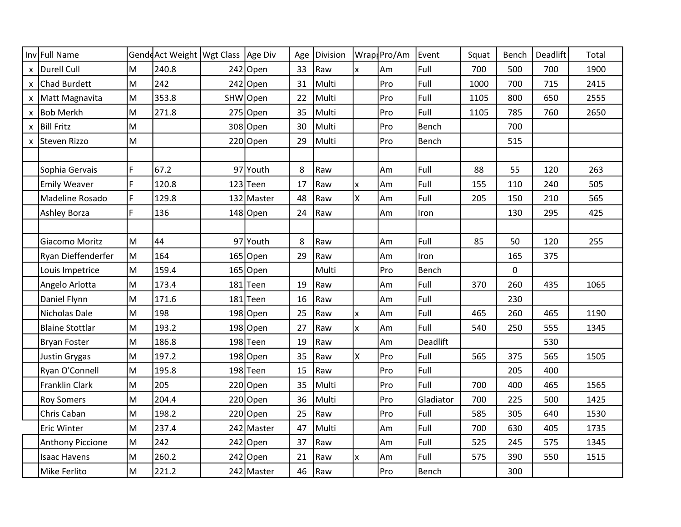|              | Inv Full Name          |    | Gende Act Weight   Wgt Class   Age Div |            | Age | Division |          | Wrap Pro/Am | Event     | Squat | Bench | Deadlift | Total |
|--------------|------------------------|----|----------------------------------------|------------|-----|----------|----------|-------------|-----------|-------|-------|----------|-------|
| $\mathsf{x}$ | Durell Cull            | М  | 240.8                                  | $242$ Open | 33  | Raw      | lx.      | Am          | Full      | 700   | 500   | 700      | 1900  |
| X            | Chad Burdett           | M  | 242                                    | $242$ Open | 31  | Multi    |          | Pro         | Full      | 1000  | 700   | 715      | 2415  |
| X            | Matt Magnavita         | M  | 353.8                                  | SHW Open   | 22  | Multi    |          | Pro         | Full      | 1105  | 800   | 650      | 2555  |
| x            | <b>Bob Merkh</b>       | M  | 271.8                                  | $275$ Open | 35  | Multi    |          | Pro         | Full      | 1105  | 785   | 760      | 2650  |
| X            | <b>Bill Fritz</b>      | M  |                                        | 308 Open   | 30  | Multi    |          | Pro         | Bench     |       | 700   |          |       |
| X            | Steven Rizzo           | M  |                                        | $220$ Open | 29  | Multi    |          | Pro         | Bench     |       | 515   |          |       |
|              |                        |    |                                        |            |     |          |          |             |           |       |       |          |       |
|              | Sophia Gervais         | F  | 67.2                                   | 97 Youth   | 8   | Raw      |          | Am          | Full      | 88    | 55    | 120      | 263   |
|              | <b>Emily Weaver</b>    | F  | 120.8                                  | $123$ Teen | 17  | Raw      | lx.      | Am          | Full      | 155   | 110   | 240      | 505   |
|              | Madeline Rosado        | F. | 129.8                                  | 132 Master | 48  | Raw      | lx.      | Am          | Full      | 205   | 150   | 210      | 565   |
|              | <b>Ashley Borza</b>    | F. | 136                                    | 148 Open   | 24  | Raw      |          | Am          | Iron      |       | 130   | 295      | 425   |
|              |                        |    |                                        |            |     |          |          |             |           |       |       |          |       |
|              | Giacomo Moritz         | M  | 44                                     | 97 Youth   | 8   | Raw      |          | Am          | Full      | 85    | 50    | 120      | 255   |
|              | Ryan Dieffenderfer     | M  | 164                                    | $165$ Open | 29  | Raw      |          | Am          | Iron      |       | 165   | 375      |       |
|              | Louis Impetrice        | lм | 159.4                                  | $165$ Open |     | Multi    |          | Pro         | Bench     |       | 0     |          |       |
|              | Angelo Arlotta         | M  | 173.4                                  | 181 Teen   | 19  | Raw      |          | Am          | Full      | 370   | 260   | 435      | 1065  |
|              | Daniel Flynn           | M  | 171.6                                  | 181 Teen   | 16  | Raw      |          | Am          | Full      |       | 230   |          |       |
|              | Nicholas Dale          | M  | 198                                    | $198$ Open | 25  | Raw      | <b>x</b> | Am          | Full      | 465   | 260   | 465      | 1190  |
|              | <b>Blaine Stottlar</b> | M  | 193.2                                  | $198$ Open | 27  | Raw      | lx.      | Am          | Full      | 540   | 250   | 555      | 1345  |
|              | Bryan Foster           | M  | 186.8                                  | 198 Teen   | 19  | Raw      |          | Am          | Deadlift  |       |       | 530      |       |
|              | <b>Justin Grygas</b>   | lм | 197.2                                  | 198 Open   | 35  | Raw      | lx.      | Pro         | Full      | 565   | 375   | 565      | 1505  |
|              | Ryan O'Connell         | M  | 195.8                                  | 198 Teen   | 15  | Raw      |          | Pro         | Full      |       | 205   | 400      |       |
|              | Franklin Clark         | M  | 205                                    | $220$ Open | 35  | Multi    |          | Pro         | Full      | 700   | 400   | 465      | 1565  |
|              | <b>Roy Somers</b>      | M  | 204.4                                  | $220$ Open | 36  | Multi    |          | Pro         | Gladiator | 700   | 225   | 500      | 1425  |
|              | Chris Caban            | M  | 198.2                                  | $220$ Open | 25  | Raw      |          | Pro         | Full      | 585   | 305   | 640      | 1530  |
|              | Eric Winter            | M  | 237.4                                  | 242 Master | 47  | Multi    |          | Am          | Full      | 700   | 630   | 405      | 1735  |
|              | Anthony Piccione       | M  | 242                                    | $242$ Open | 37  | Raw      |          | Am          | Full      | 525   | 245   | 575      | 1345  |
|              | <b>Isaac Havens</b>    | M  | 260.2                                  | $242$ Open | 21  | Raw      | <b>x</b> | Am          | Full      | 575   | 390   | 550      | 1515  |
|              | Mike Ferlito           | M  | 221.2                                  | 242 Master | 46  | Raw      |          | Pro         | Bench     |       | 300   |          |       |